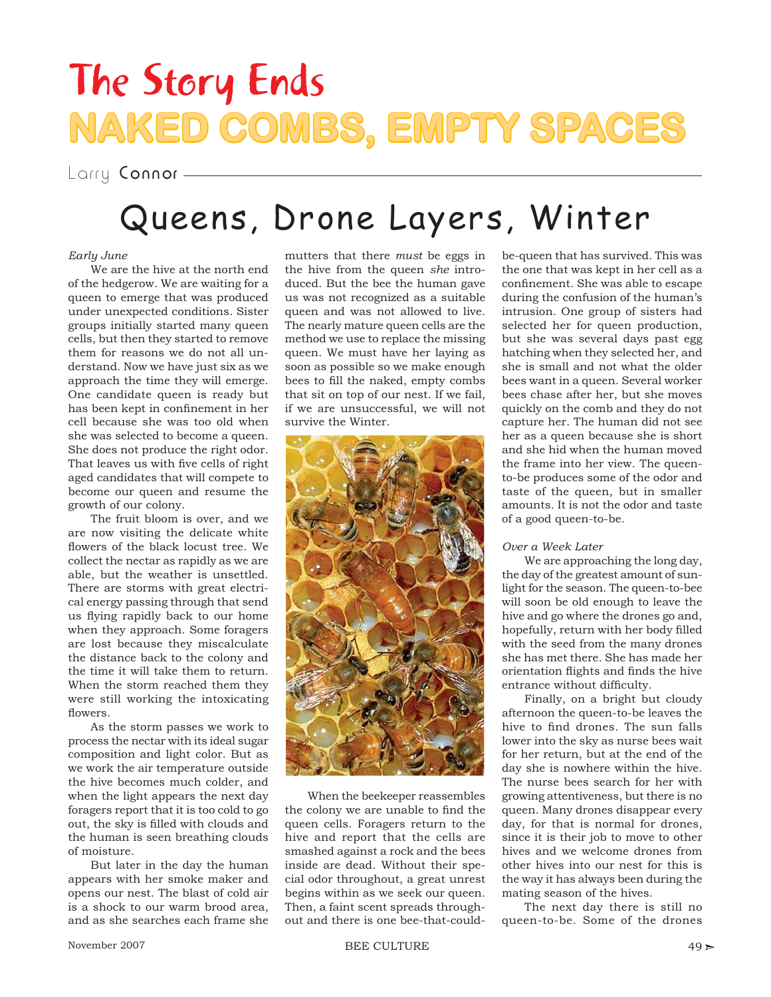## The Story Ends **NAKED COMBS, EMPTY SPACES**

Larry Connor -

### Queens, Drone Layers, Winter

#### *Early June*

We are the hive at the north end of the hedgerow. We are waiting for a queen to emerge that was produced under unexpected conditions. Sister groups initially started many queen cells, but then they started to remove them for reasons we do not all understand. Now we have just six as we approach the time they will emerge. One candidate queen is ready but has been kept in confinement in her cell because she was too old when she was selected to become a queen. She does not produce the right odor. That leaves us with five cells of right aged candidates that will compete to become our queen and resume the growth of our colony.

The fruit bloom is over, and we are now visiting the delicate white flowers of the black locust tree. We collect the nectar as rapidly as we are able, but the weather is unsettled. There are storms with great electrical energy passing through that send us flying rapidly back to our home when they approach. Some foragers are lost because they miscalculate the distance back to the colony and the time it will take them to return. When the storm reached them they were still working the intoxicating flowers.

As the storm passes we work to process the nectar with its ideal sugar composition and light color. But as we work the air temperature outside the hive becomes much colder, and when the light appears the next day foragers report that it is too cold to go out, the sky is filled with clouds and the human is seen breathing clouds of moisture.

But later in the day the human appears with her smoke maker and opens our nest. The blast of cold air is a shock to our warm brood area, and as she searches each frame she mutters that there *must* be eggs in the hive from the queen *she* introduced. But the bee the human gave us was not recognized as a suitable queen and was not allowed to live. The nearly mature queen cells are the method we use to replace the missing queen. We must have her laying as soon as possible so we make enough bees to fill the naked, empty combs that sit on top of our nest. If we fail, if we are unsuccessful, we will not survive the Winter.



When the beekeeper reassembles the colony we are unable to find the queen cells. Foragers return to the hive and report that the cells are smashed against a rock and the bees inside are dead. Without their special odor throughout, a great unrest begins within as we seek our queen. Then, a faint scent spreads throughout and there is one bee-that-could-

be-queen that has survived. This was the one that was kept in her cell as a confinement. She was able to escape during the confusion of the human's intrusion. One group of sisters had selected her for queen production, but she was several days past egg hatching when they selected her, and she is small and not what the older bees want in a queen. Several worker bees chase after her, but she moves quickly on the comb and they do not capture her. The human did not see her as a queen because she is short and she hid when the human moved the frame into her view. The queento-be produces some of the odor and taste of the queen, but in smaller amounts. It is not the odor and taste of a good queen-to-be.

#### *Over a Week Later*

We are approaching the long day, the day of the greatest amount of sunlight for the season. The queen-to-bee will soon be old enough to leave the hive and go where the drones go and, hopefully, return with her body filled with the seed from the many drones she has met there. She has made her orientation flights and finds the hive entrance without difficulty.

Finally, on a bright but cloudy afternoon the queen-to-be leaves the hive to find drones. The sun falls lower into the sky as nurse bees wait for her return, but at the end of the day she is nowhere within the hive. The nurse bees search for her with growing attentiveness, but there is no queen. Many drones disappear every day, for that is normal for drones, since it is their job to move to other hives and we welcome drones from other hives into our nest for this is the way it has always been during the mating season of the hives.

The next day there is still no queen-to-be. Some of the drones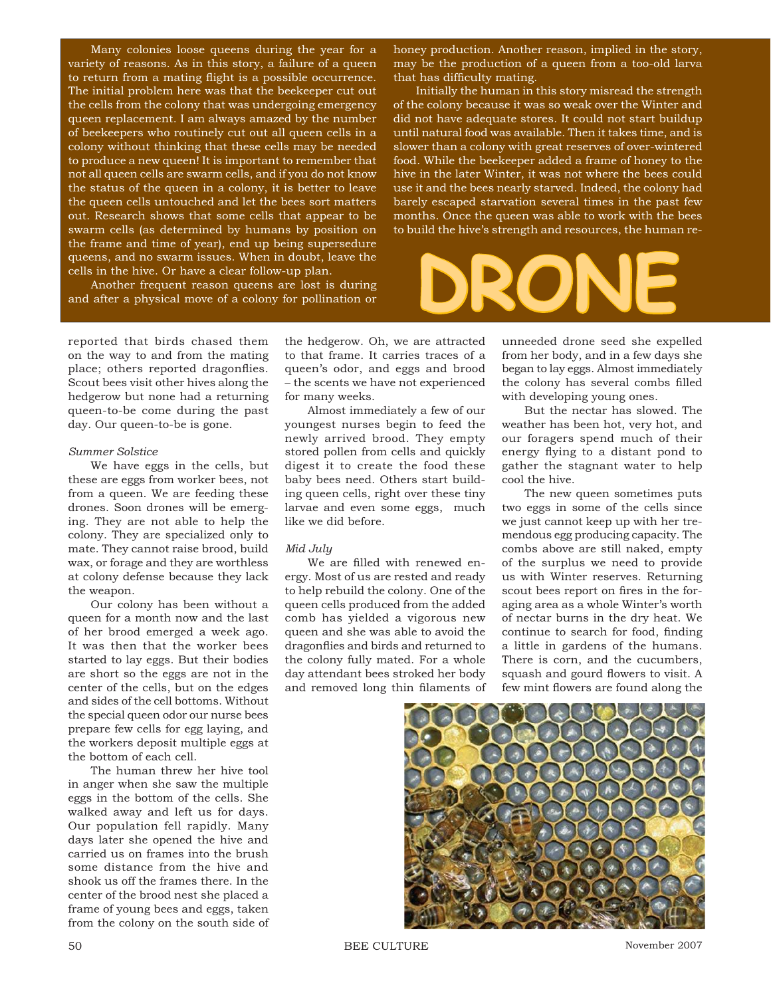Many colonies loose queens during the year for a variety of reasons. As in this story, a failure of a queen to return from a mating flight is a possible occurrence. The initial problem here was that the beekeeper cut out the cells from the colony that was undergoing emergency queen replacement. I am always amazed by the number of beekeepers who routinely cut out all queen cells in a colony without thinking that these cells may be needed to produce a new queen! It is important to remember that not all queen cells are swarm cells, and if you do not know the status of the queen in a colony, it is better to leave the queen cells untouched and let the bees sort matters out. Research shows that some cells that appear to be swarm cells (as determined by humans by position on the frame and time of year), end up being supersedure queens, and no swarm issues. When in doubt, leave the cells in the hive. Or have a clear follow-up plan.

Another frequent reason queens are lost is during and after a physical move of a colony for pollination or honey production. Another reason, implied in the story, may be the production of a queen from a too-old larva that has difficulty mating.

Initially the human in this story misread the strength of the colony because it was so weak over the Winter and did not have adequate stores. It could not start buildup until natural food was available. Then it takes time, and is slower than a colony with great reserves of over-wintered food. While the beekeeper added a frame of honey to the hive in the later Winter, it was not where the bees could use it and the bees nearly starved. Indeed, the colony had barely escaped starvation several times in the past few months. Once the queen was able to work with the bees to build the hive's strength and resources, the human re-

**DRONE** 

reported that birds chased them on the way to and from the mating place; others reported dragonflies. Scout bees visit other hives along the hedgerow but none had a returning queen-to-be come during the past day. Our queen-to-be is gone.

#### *Summer Solstice*

We have eggs in the cells, but these are eggs from worker bees, not from a queen. We are feeding these drones. Soon drones will be emerging. They are not able to help the colony. They are specialized only to mate. They cannot raise brood, build wax, or forage and they are worthless at colony defense because they lack the weapon.

Our colony has been without a queen for a month now and the last of her brood emerged a week ago. It was then that the worker bees started to lay eggs. But their bodies are short so the eggs are not in the center of the cells, but on the edges and sides of the cell bottoms. Without the special queen odor our nurse bees prepare few cells for egg laying, and the workers deposit multiple eggs at the bottom of each cell.

The human threw her hive tool in anger when she saw the multiple eggs in the bottom of the cells. She walked away and left us for days. Our population fell rapidly. Many days later she opened the hive and carried us on frames into the brush some distance from the hive and shook us off the frames there. In the center of the brood nest she placed a frame of young bees and eggs, taken from the colony on the south side of

the hedgerow. Oh, we are attracted to that frame. It carries traces of a queen's odor, and eggs and brood – the scents we have not experienced for many weeks.

Almost immediately a few of our youngest nurses begin to feed the newly arrived brood. They empty stored pollen from cells and quickly digest it to create the food these baby bees need. Others start building queen cells, right over these tiny larvae and even some eggs, much like we did before.

#### *Mid July*

We are filled with renewed energy. Most of us are rested and ready to help rebuild the colony. One of the queen cells produced from the added comb has yielded a vigorous new queen and she was able to avoid the dragonflies and birds and returned to the colony fully mated. For a whole day attendant bees stroked her body and removed long thin filaments of

unneeded drone seed she expelled from her body, and in a few days she began to lay eggs. Almost immediately the colony has several combs filled with developing young ones.

But the nectar has slowed. The weather has been hot, very hot, and our foragers spend much of their energy flying to a distant pond to gather the stagnant water to help cool the hive.

The new queen sometimes puts two eggs in some of the cells since we just cannot keep up with her tremendous egg producing capacity. The combs above are still naked, empty of the surplus we need to provide us with Winter reserves. Returning scout bees report on fires in the foraging area as a whole Winter's worth of nectar burns in the dry heat. We continue to search for food, finding a little in gardens of the humans. There is corn, and the cucumbers, squash and gourd flowers to visit. A few mint flowers are found along the